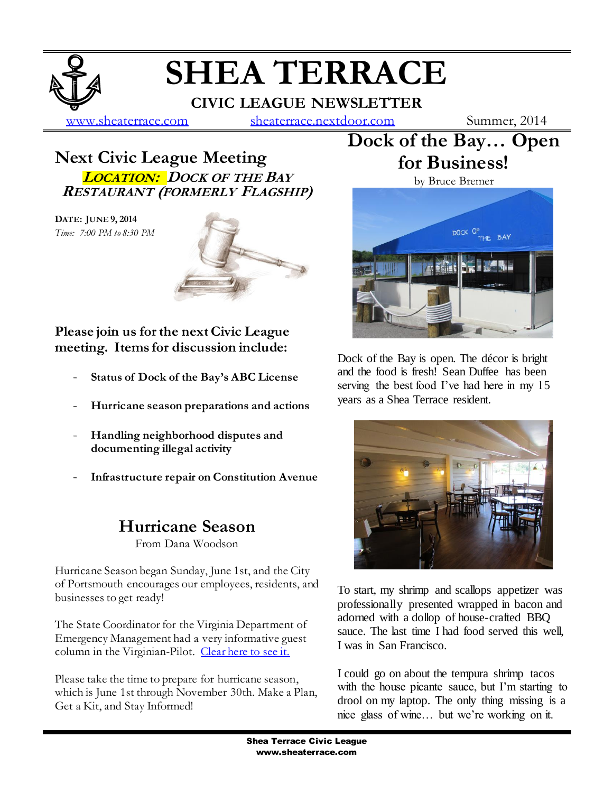# **SHEA TERRACE**

**CIVIC LEAGUE NEWSLETTER**

[www.sheaterrace.com](http://www.sheaterrace.com/) [sheaterrace.nextdoor.com](http://sheaterrace.nextdoor.com/) Summer, 2014

### **Next Civic League Meeting LOCATION: DOCK OF THE BAY RESTAURANT (FORMERLY FLAGSHIP)**

**DATE: JUNE 9, 2014** *Time: 7:00 PM to 8:30 PM*



**Please join us for the next Civic League meeting. Items for discussion include:**

- **Status of Dock of the Bay's ABC License**
- **Hurricane season preparations and actions**
- **Handling neighborhood disputes and documenting illegal activity**
- **Infrastructure repair on Constitution Avenue**

## **Hurricane Season**

From Dana Woodson

Hurricane Season began Sunday, June 1st, and the City of Portsmouth encourages our employees, residents, and businesses to get ready!

The State Coordinator for the Virginia Department of Emergency Management had a very informative guest column in the Virginian-Pilot. [Clear here to see it.](http://digital.olivesoftware.com/Olive/ODE/VirginianPilot/LandingPage/LandingPage.aspx?href=VmlyZ2luaWFuUGlsb3QvMjAxNC8wNS8zMA..&pageno=MTc.&entity=QXIwMTcwMg..&view=ZW50aXR5)

Please take the time to prepare for hurricane season, which is June 1st through November 30th. Make a Plan, Get a Kit, and Stay Informed!

**Dock of the Bay… Open for Business!**



Dock of the Bay is open. The décor is bright and the food is fresh! Sean Duffee has been serving the best food I've had here in my 15 years as a Shea Terrace resident.



To start, my shrimp and scallops appetizer was professionally presented wrapped in bacon and adorned with a dollop of house-crafted BBQ sauce. The last time I had food served this well, I was in San Francisco.

I could go on about the tempura shrimp tacos with the house picante sauce, but I'm starting to drool on my laptop. The only thing missing is a nice glass of wine… but we're working on it.